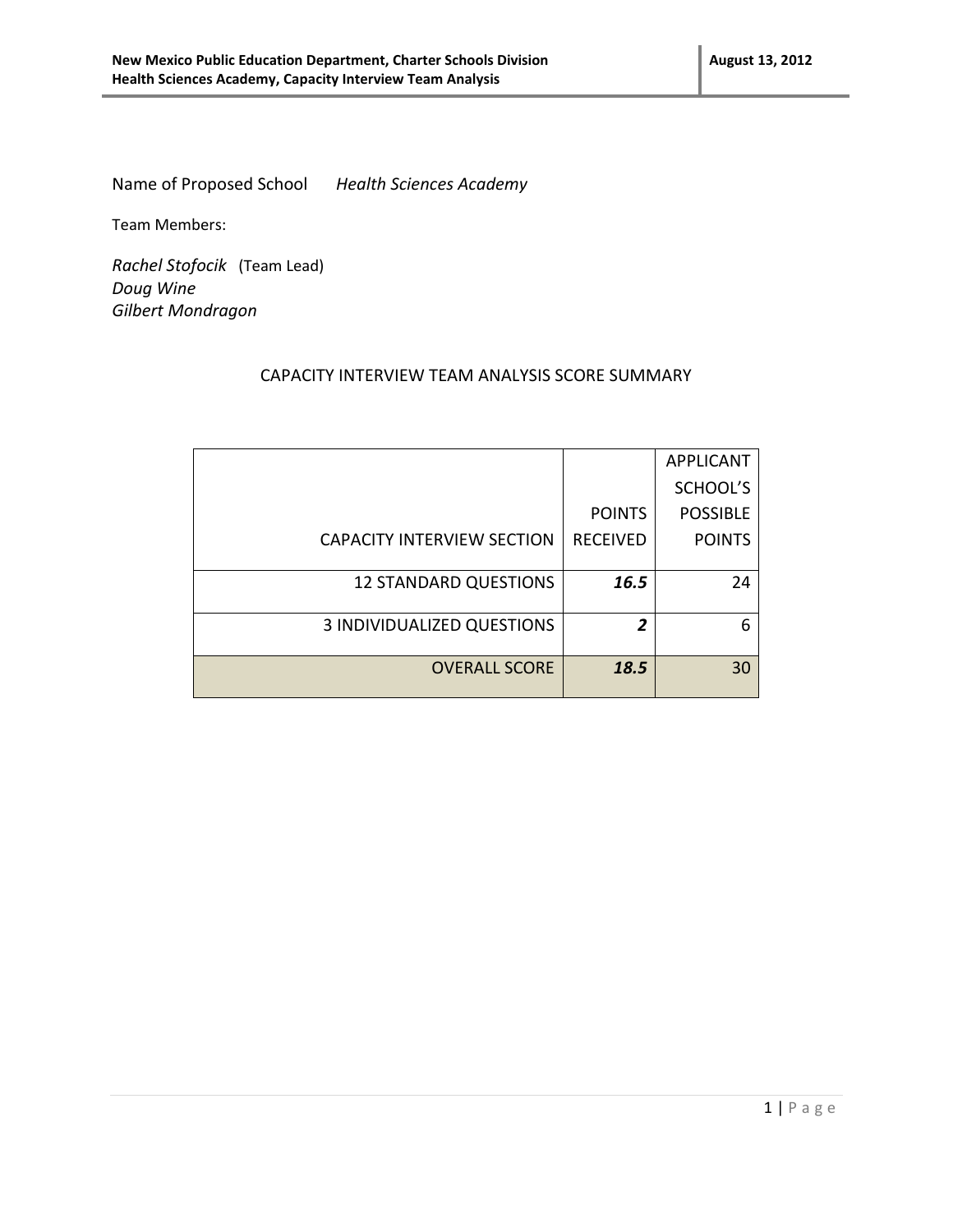Name of Proposed School *Health Sciences Academy*

Team Members:

*Rachel Stofocik* (Team Lead) *Doug Wine Gilbert Mondragon*

## CAPACITY INTERVIEW TEAM ANALYSIS SCORE SUMMARY

|                                   |                 | <b>APPLICANT</b> |
|-----------------------------------|-----------------|------------------|
|                                   |                 | SCHOOL'S         |
|                                   | <b>POINTS</b>   | <b>POSSIBLE</b>  |
| <b>CAPACITY INTERVIEW SECTION</b> | <b>RECEIVED</b> | <b>POINTS</b>    |
|                                   |                 |                  |
| <b>12 STANDARD QUESTIONS</b>      | 16.5            | 24               |
|                                   |                 |                  |
| 3 INDIVIDUALIZED QUESTIONS        | 2               | 6                |
|                                   |                 |                  |
| <b>OVERALL SCORE</b>              | 18.5            | 30               |
|                                   |                 |                  |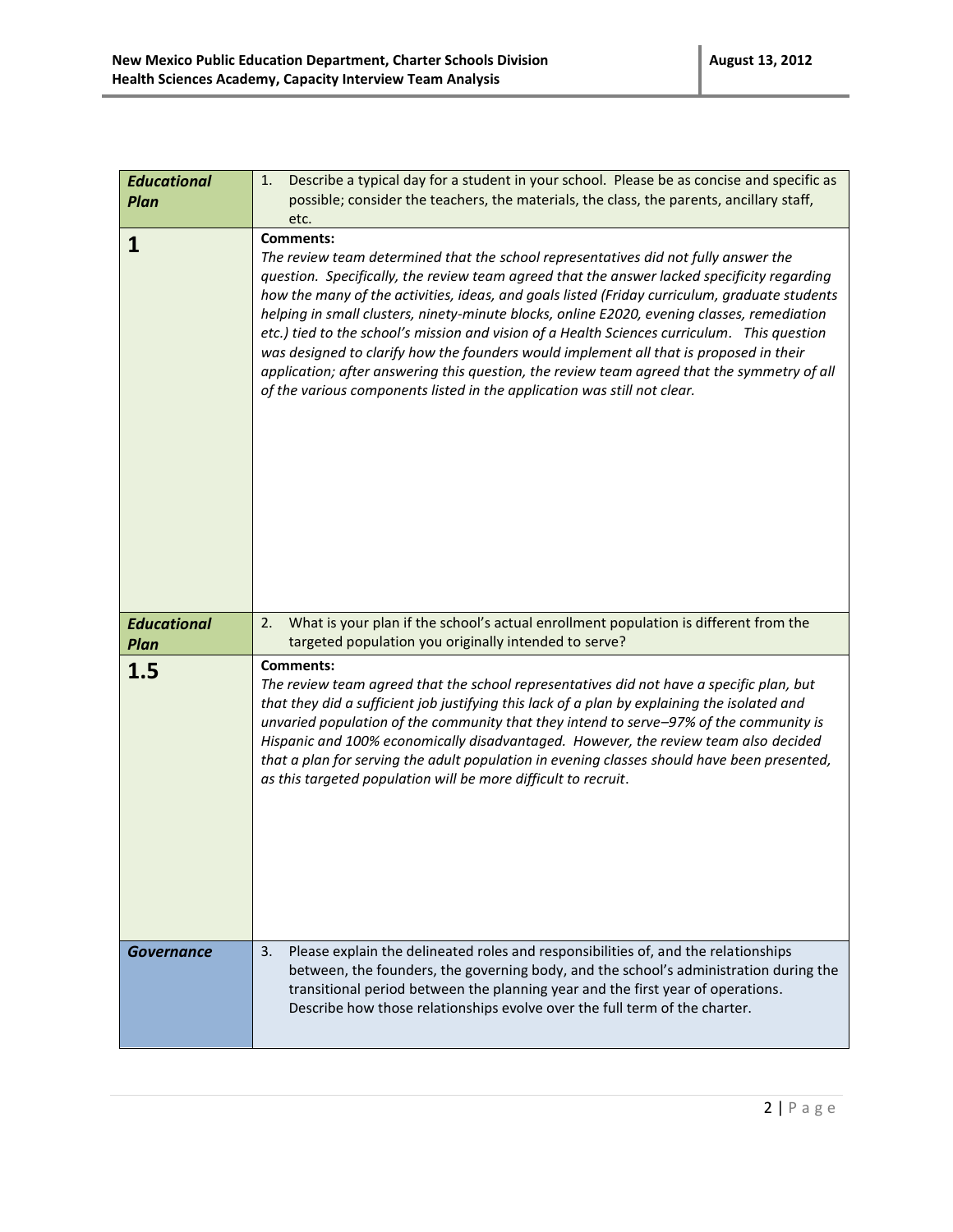| <b>Educational</b> | Describe a typical day for a student in your school. Please be as concise and specific as<br>1.                                                                                                                                                                                                                                                                                                                                                                                                                                                                                                                                                                                                                                                                             |
|--------------------|-----------------------------------------------------------------------------------------------------------------------------------------------------------------------------------------------------------------------------------------------------------------------------------------------------------------------------------------------------------------------------------------------------------------------------------------------------------------------------------------------------------------------------------------------------------------------------------------------------------------------------------------------------------------------------------------------------------------------------------------------------------------------------|
| Plan               | possible; consider the teachers, the materials, the class, the parents, ancillary staff,                                                                                                                                                                                                                                                                                                                                                                                                                                                                                                                                                                                                                                                                                    |
|                    | etc.                                                                                                                                                                                                                                                                                                                                                                                                                                                                                                                                                                                                                                                                                                                                                                        |
| 1                  | <b>Comments:</b><br>The review team determined that the school representatives did not fully answer the<br>question. Specifically, the review team agreed that the answer lacked specificity regarding<br>how the many of the activities, ideas, and goals listed (Friday curriculum, graduate students<br>helping in small clusters, ninety-minute blocks, online E2020, evening classes, remediation<br>etc.) tied to the school's mission and vision of a Health Sciences curriculum. This question<br>was designed to clarify how the founders would implement all that is proposed in their<br>application; after answering this question, the review team agreed that the symmetry of all<br>of the various components listed in the application was still not clear. |
| <b>Educational</b> | What is your plan if the school's actual enrollment population is different from the<br>2.                                                                                                                                                                                                                                                                                                                                                                                                                                                                                                                                                                                                                                                                                  |
| <b>Plan</b>        | targeted population you originally intended to serve?                                                                                                                                                                                                                                                                                                                                                                                                                                                                                                                                                                                                                                                                                                                       |
| 1.5                | <b>Comments:</b><br>The review team agreed that the school representatives did not have a specific plan, but<br>that they did a sufficient job justifying this lack of a plan by explaining the isolated and<br>unvaried population of the community that they intend to serve-97% of the community is<br>Hispanic and 100% economically disadvantaged. However, the review team also decided<br>that a plan for serving the adult population in evening classes should have been presented,<br>as this targeted population will be more difficult to recruit.                                                                                                                                                                                                              |
| Governance         | Please explain the delineated roles and responsibilities of, and the relationships<br>3.<br>between, the founders, the governing body, and the school's administration during the<br>transitional period between the planning year and the first year of operations.<br>Describe how those relationships evolve over the full term of the charter.                                                                                                                                                                                                                                                                                                                                                                                                                          |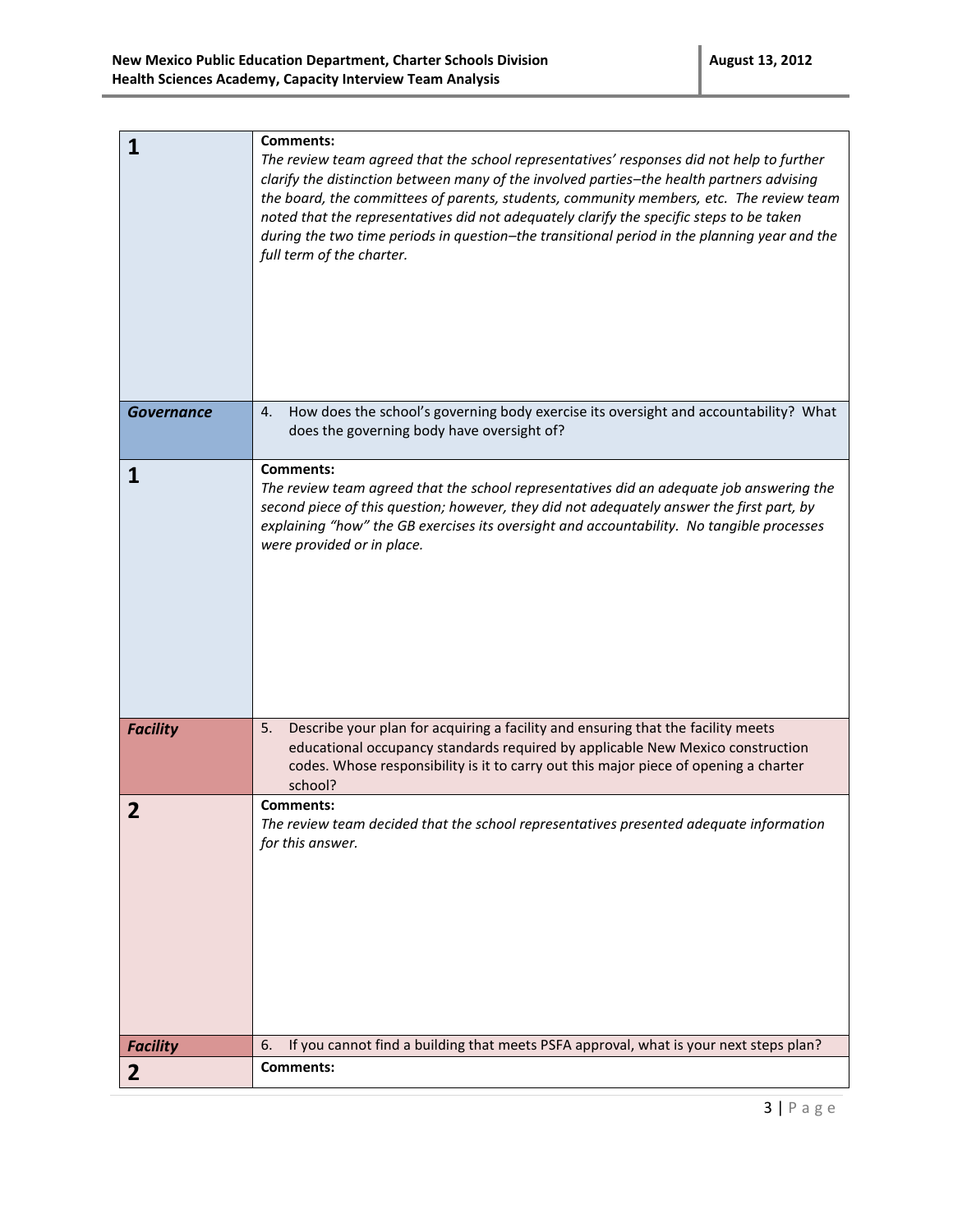| 1                 | <b>Comments:</b><br>The review team agreed that the school representatives' responses did not help to further<br>clarify the distinction between many of the involved parties-the health partners advising<br>the board, the committees of parents, students, community members, etc. The review team<br>noted that the representatives did not adequately clarify the specific steps to be taken<br>during the two time periods in question-the transitional period in the planning year and the<br>full term of the charter. |
|-------------------|--------------------------------------------------------------------------------------------------------------------------------------------------------------------------------------------------------------------------------------------------------------------------------------------------------------------------------------------------------------------------------------------------------------------------------------------------------------------------------------------------------------------------------|
| <b>Governance</b> | How does the school's governing body exercise its oversight and accountability? What<br>4.<br>does the governing body have oversight of?                                                                                                                                                                                                                                                                                                                                                                                       |
| 1                 | <b>Comments:</b><br>The review team agreed that the school representatives did an adequate job answering the<br>second piece of this question; however, they did not adequately answer the first part, by<br>explaining "how" the GB exercises its oversight and accountability. No tangible processes<br>were provided or in place.                                                                                                                                                                                           |
| <b>Facility</b>   | Describe your plan for acquiring a facility and ensuring that the facility meets<br>5.<br>educational occupancy standards required by applicable New Mexico construction<br>codes. Whose responsibility is it to carry out this major piece of opening a charter<br>school?                                                                                                                                                                                                                                                    |
| 2                 | Comments:<br>The review team decided that the school representatives presented adequate information<br>for this answer.                                                                                                                                                                                                                                                                                                                                                                                                        |
| <b>Facility</b>   | If you cannot find a building that meets PSFA approval, what is your next steps plan?<br>6.                                                                                                                                                                                                                                                                                                                                                                                                                                    |
| $\overline{2}$    | <b>Comments:</b>                                                                                                                                                                                                                                                                                                                                                                                                                                                                                                               |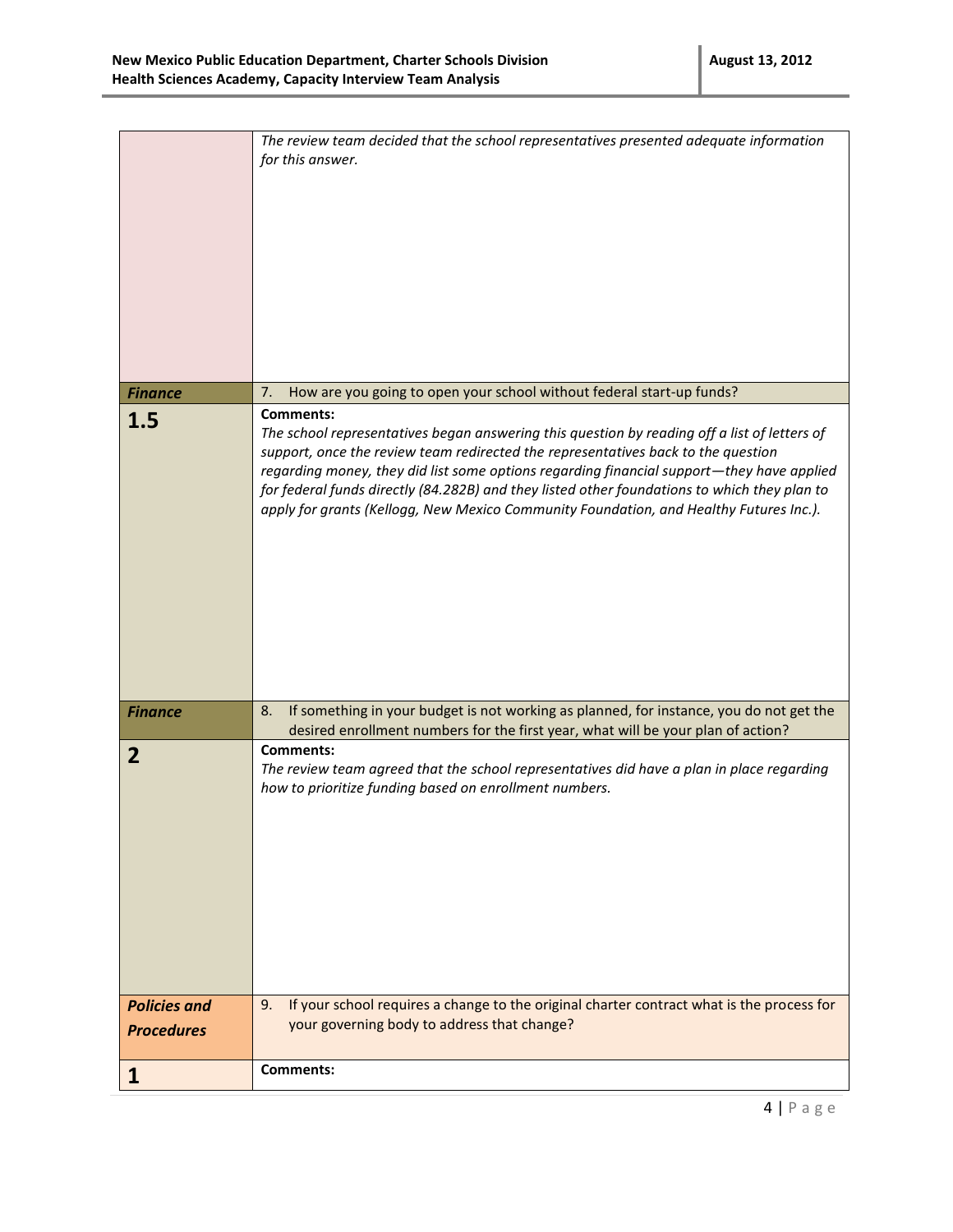|                     | The review team decided that the school representatives presented adequate information<br>for this answer.                                                                                                                                                                                                                                                                                                                                                                                   |
|---------------------|----------------------------------------------------------------------------------------------------------------------------------------------------------------------------------------------------------------------------------------------------------------------------------------------------------------------------------------------------------------------------------------------------------------------------------------------------------------------------------------------|
| <b>Finance</b>      | How are you going to open your school without federal start-up funds?<br>7.                                                                                                                                                                                                                                                                                                                                                                                                                  |
| 1.5                 | <b>Comments:</b><br>The school representatives began answering this question by reading off a list of letters of<br>support, once the review team redirected the representatives back to the question<br>regarding money, they did list some options regarding financial support—they have applied<br>for federal funds directly (84.282B) and they listed other foundations to which they plan to<br>apply for grants (Kellogg, New Mexico Community Foundation, and Healthy Futures Inc.). |
| <b>Finance</b>      | If something in your budget is not working as planned, for instance, you do not get the<br>8.<br>desired enrollment numbers for the first year, what will be your plan of action?                                                                                                                                                                                                                                                                                                            |
| $\overline{2}$      | <b>Comments:</b><br>The review team agreed that the school representatives did have a plan in place regarding<br>how to prioritize funding based on enrollment numbers.                                                                                                                                                                                                                                                                                                                      |
| <b>Policies and</b> | If your school requires a change to the original charter contract what is the process for<br>9.<br>your governing body to address that change?                                                                                                                                                                                                                                                                                                                                               |
| <b>Procedures</b>   |                                                                                                                                                                                                                                                                                                                                                                                                                                                                                              |
| 1                   | <b>Comments:</b>                                                                                                                                                                                                                                                                                                                                                                                                                                                                             |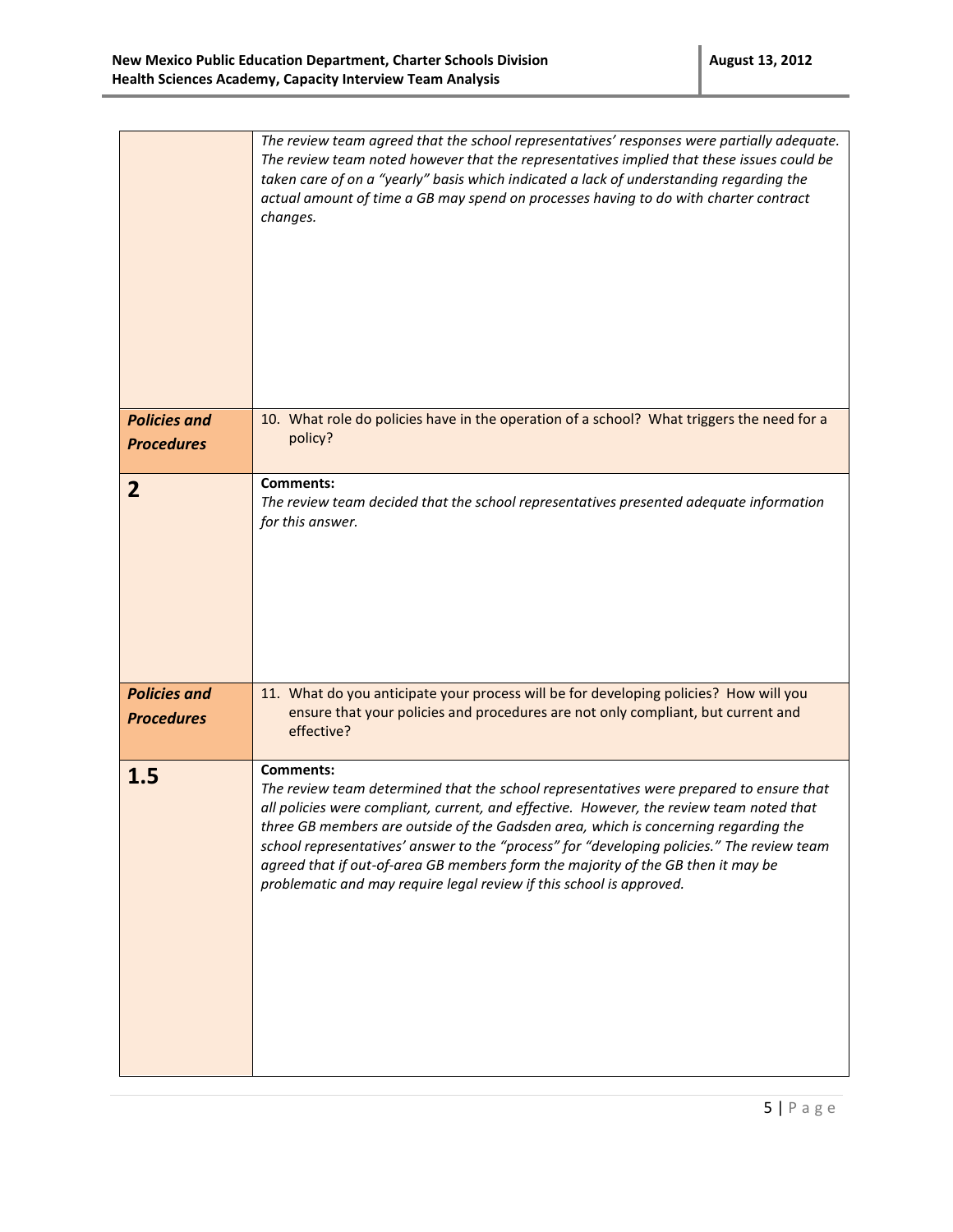|                                          | The review team agreed that the school representatives' responses were partially adequate.<br>The review team noted however that the representatives implied that these issues could be<br>taken care of on a "yearly" basis which indicated a lack of understanding regarding the<br>actual amount of time a GB may spend on processes having to do with charter contract<br>changes.                                                                                                                                                                   |
|------------------------------------------|----------------------------------------------------------------------------------------------------------------------------------------------------------------------------------------------------------------------------------------------------------------------------------------------------------------------------------------------------------------------------------------------------------------------------------------------------------------------------------------------------------------------------------------------------------|
| <b>Policies and</b><br><b>Procedures</b> | 10. What role do policies have in the operation of a school? What triggers the need for a<br>policy?                                                                                                                                                                                                                                                                                                                                                                                                                                                     |
| $\overline{2}$                           | <b>Comments:</b><br>The review team decided that the school representatives presented adequate information<br>for this answer.                                                                                                                                                                                                                                                                                                                                                                                                                           |
| <b>Policies and</b><br><b>Procedures</b> | 11. What do you anticipate your process will be for developing policies? How will you<br>ensure that your policies and procedures are not only compliant, but current and<br>effective?                                                                                                                                                                                                                                                                                                                                                                  |
| 1.5                                      | <b>Comments:</b><br>The review team determined that the school representatives were prepared to ensure that<br>all policies were compliant, current, and effective. However, the review team noted that<br>three GB members are outside of the Gadsden area, which is concerning regarding the<br>school representatives' answer to the "process" for "developing policies." The review team<br>agreed that if out-of-area GB members form the majority of the GB then it may be<br>problematic and may require legal review if this school is approved. |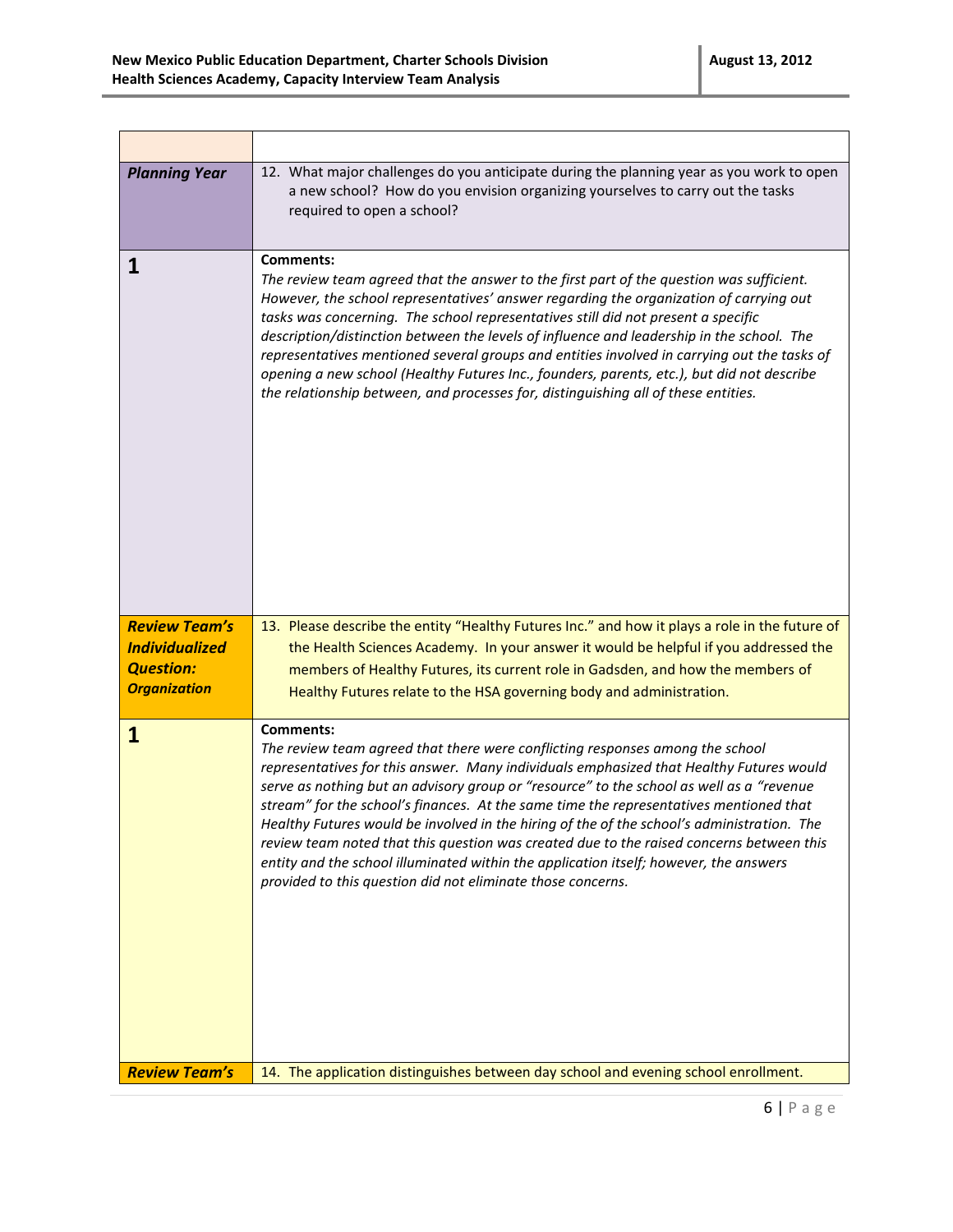| <b>Planning Year</b>                                                                     | 12. What major challenges do you anticipate during the planning year as you work to open<br>a new school? How do you envision organizing yourselves to carry out the tasks<br>required to open a school?                                                                                                                                                                                                                                                                                                                                                                                                                                                                                                                             |
|------------------------------------------------------------------------------------------|--------------------------------------------------------------------------------------------------------------------------------------------------------------------------------------------------------------------------------------------------------------------------------------------------------------------------------------------------------------------------------------------------------------------------------------------------------------------------------------------------------------------------------------------------------------------------------------------------------------------------------------------------------------------------------------------------------------------------------------|
| 1                                                                                        | <b>Comments:</b><br>The review team agreed that the answer to the first part of the question was sufficient.<br>However, the school representatives' answer regarding the organization of carrying out<br>tasks was concerning. The school representatives still did not present a specific<br>description/distinction between the levels of influence and leadership in the school. The<br>representatives mentioned several groups and entities involved in carrying out the tasks of<br>opening a new school (Healthy Futures Inc., founders, parents, etc.), but did not describe<br>the relationship between, and processes for, distinguishing all of these entities.                                                          |
| <b>Review Team's</b><br><b>Individualized</b><br><b>Question:</b><br><b>Organization</b> | 13. Please describe the entity "Healthy Futures Inc." and how it plays a role in the future of<br>the Health Sciences Academy. In your answer it would be helpful if you addressed the<br>members of Healthy Futures, its current role in Gadsden, and how the members of<br>Healthy Futures relate to the HSA governing body and administration.                                                                                                                                                                                                                                                                                                                                                                                    |
| $\mathbf{1}$                                                                             | <b>Comments:</b><br>The review team agreed that there were conflicting responses among the school<br>representatives for this answer. Many individuals emphasized that Healthy Futures would<br>serve as nothing but an advisory group or "resource" to the school as well as a "revenue<br>stream" for the school's finances. At the same time the representatives mentioned that<br>Healthy Futures would be involved in the hiring of the of the school's administration. The<br>review team noted that this question was created due to the raised concerns between this<br>entity and the school illuminated within the application itself; however, the answers<br>provided to this question did not eliminate those concerns. |
| <b>Review Team's</b>                                                                     | 14. The application distinguishes between day school and evening school enrollment.                                                                                                                                                                                                                                                                                                                                                                                                                                                                                                                                                                                                                                                  |